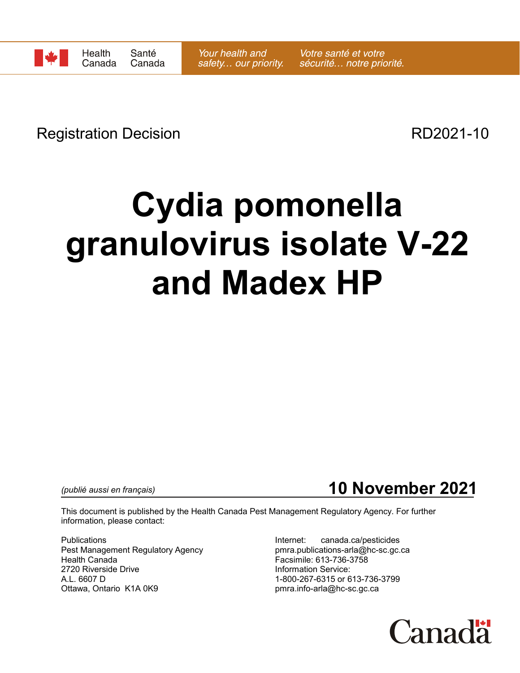Registration Decision **RD2021-10** 

## **Cydia pomonella granulovirus isolate V-22 and Madex HP**

*(publié aussi en français)*

**10 November 2021**

This document is published by the Health Canada Pest Management Regulatory Agency. For further information, please contact:

Publications Internet: canada.ca/pesticides Pest Management Regulatory Agency example and pmra.publications-arla@hc-sc.gc.ca Health Canada Facsimile: 613-736-3758 2720 Riverside Drive **Information Service:**<br>A.L. 6607 D<br>A.L. 6607 D A.L. 6607 D<br>Ottawa, Ontario K1A 0K9 Delta Controller and the property of the property of the property property of the property of the property of the District Controller and Ohio and District Controller and Ohio and Ohio a

pmra.info-arla@hc-sc.gc.ca

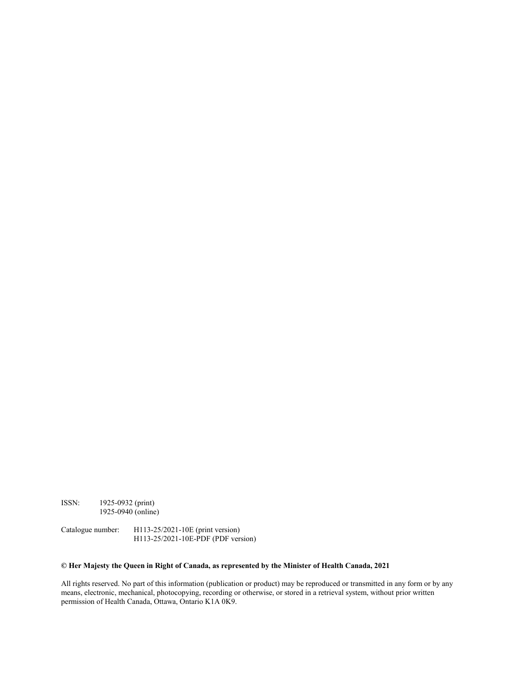ISSN: 1925-0932 (print) 1925-0940 (online)

Catalogue number: H113-25/2021-10E (print version) H113-25/2021-10E-PDF (PDF version)

## **© Her Majesty the Queen in Right of Canada, as represented by the Minister of Health Canada, 2021**

All rights reserved. No part of this information (publication or product) may be reproduced or transmitted in any form or by any means, electronic, mechanical, photocopying, recording or otherwise, or stored in a retrieval system, without prior written permission of Health Canada, Ottawa, Ontario K1A 0K9.